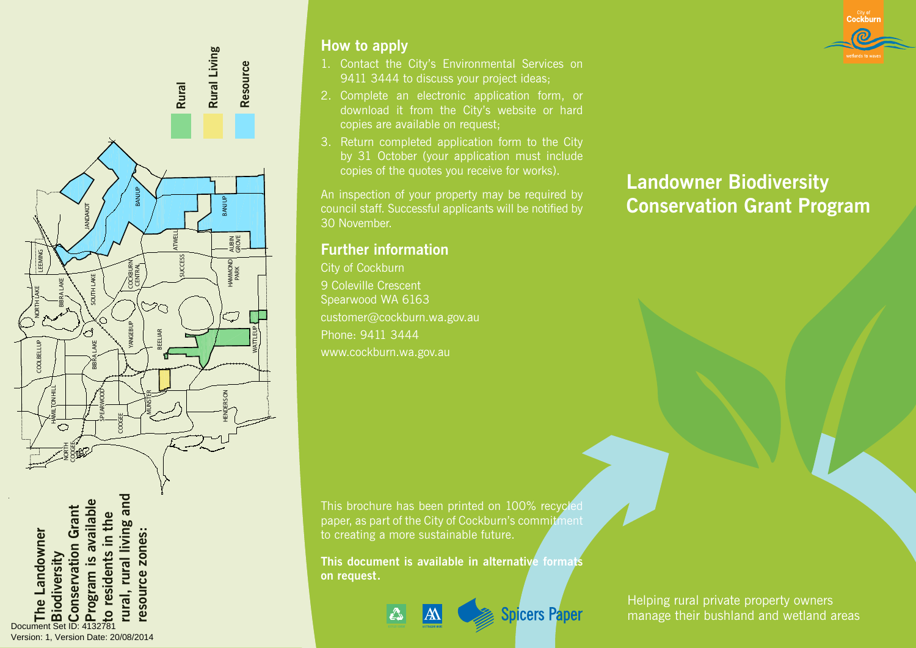

Document Set ID: 4132781<br>Version: 1, Version Date: 20/08/2014

#### How to apply

- 1. Contact the City's Environmental Services on 9411 3444 to discuss your project ideas;
- 2. Complete an electronic application form, or download it from the City's website or hard copies are available on request;
- 3. Return completed application form to the City by 31 October (your application must include copies of the quotes you receive for works).

An inspection of your property may be required by council staff. Successful applicants will be notified by 30 November.

### Further information

City of Cockburn 9 Coleville Crescent Spearwood WA 6163 customer@cockburn.wa.gov.au Phone: 9411 3444 www.cockburn.wa.gov.au by ST (copies copies copies concil staff<br>30 Novemb<br>**Further in**<br>City of Cock<br>9 Coleville (Spearwood<br>customer@<br>Phone: 941<br>www.cockb<br>paper, as pa<br>to creating ;<br>**This docum**<br>**on request.** 

Landowner Biodiversity Conservation Grant Program

City of Cockburn

This brochure has been printed on 100% recycled paper, as part of the City of Cockburn's commitment to creating a more sustainable future.

This document is available in alternative formats on request.

**Spicers Paper** 

Helping rural private property owners manage their bushland and wetland areas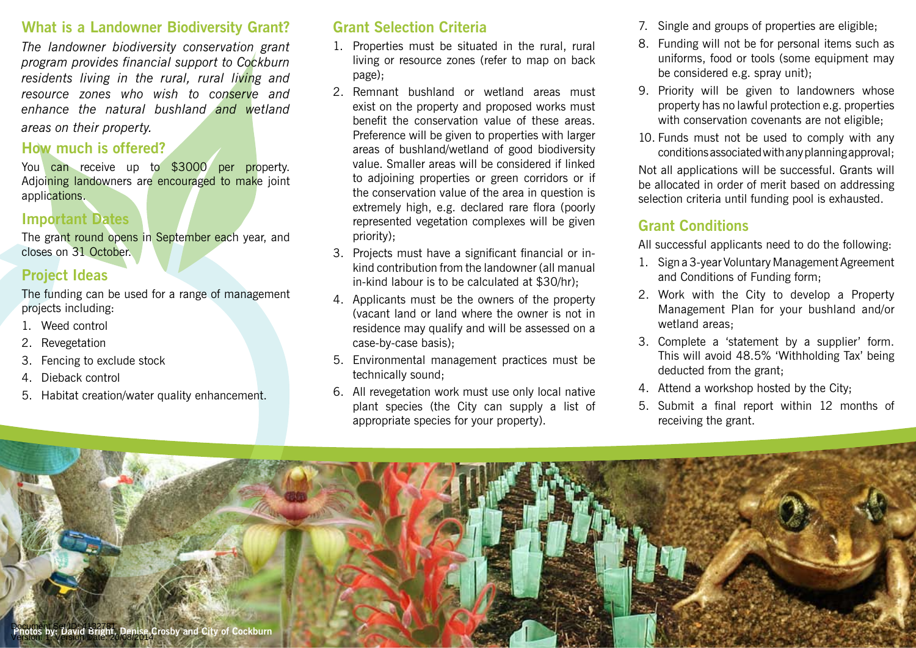### What is a Landowner Biodiversity Grant?

*The landowner biodiversity conservation grant program provides financial support to Cockburn residents living in the rural, rural living and resource zones who wish to conserve and enhance the natural bushland and wetland areas on their property.* 

### How much is offered?

You can receive up to \$3000 per property. Adjoining landowners are encouraged to make joint applications.

#### Important Dates

The grant round opens in September each year, and closes on 31 October.

### Project Ideas

The funding can be used for a range of management projects including:

- 1. Weed control
- 2. Revegetation
- 3. Fencing to exclude stock
- 4. Dieback control
- 5. Habitat creation/water quality enhancement.

## Grant Selection Criteria

- 1. Properties must be situated in the rural, rural living or resource zones (refer to map on back page);
- 2. Remnant bushland or wetland areas must exist on the property and proposed works must benefit the conservation value of these areas. Preference will be given to properties with larger areas of bushland/wetland of good biodiversity value. Smaller areas will be considered if linked to adjoining properties or green corridors or if the conservation value of the area in question is extremely high, e.g. declared rare flora (poorly represented vegetation complexes will be given priority);
- 3. Projects must have a significant financial or inkind contribution from the landowner (all manual in-kind labour is to be calculated at \$30/hr);
- 4. Applicants must be the owners of the property (vacant land or land where the owner is not in residence may qualify and will be assessed on a case-by-case basis);
- 5. Environmental management practices must be technically sound;
- 6. All revegetation work must use only local native plant species (the City can supply a list of appropriate species for your property).
- 7. Single and groups of properties are eligible;
- 8. Funding will not be for personal items such as uniforms, food or tools (some equipment may be considered e.g. spray unit);
- 9. Priority will be given to landowners whose property has no lawful protection e.g. properties with conservation covenants are not eligible:
- 10. Funds must not be used to comply with any conditions associated with any planning approval;

Not all applications will be successful. Grants will be allocated in order of merit based on addressing selection criteria until funding pool is exhausted.

## Grant Conditions

All successful applicants need to do the following:

- 1. Sign a 3-year Voluntary Management Agreement and Conditions of Funding form;
- 2. Work with the City to develop a Property Management Plan for your bushland and/or wetland areas;
- 3. Complete a 'statement by a supplier' form. This will avoid 48.5% 'Withholding Tax' being deducted from the grant;
- 4. Attend a workshop hosted by the City;
- 5. Submit a final report within 12 months of receiving the grant.

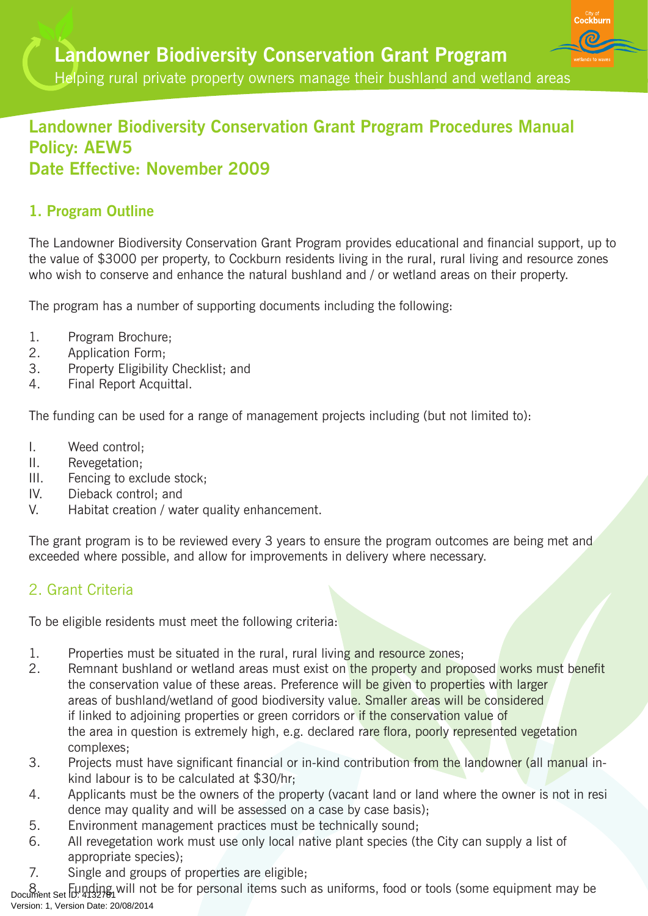Cockburr

## Landowner Biodiversity Conservation Grant Program Procedures Manual Policy: AEW5 Date Effective: November 2009

## 1. Program Outline

The Landowner Biodiversity Conservation Grant Program provides educational and financial support, up to the value of \$3000 per property, to Cockburn residents living in the rural, rural living and resource zones who wish to conserve and enhance the natural bushland and / or wetland areas on their property.

The program has a number of supporting documents including the following:

- 1. Program Brochure;
- 2. Application Form;
- 3. Property Eligibility Checklist; and
- 4. Final Report Acquittal.

The funding can be used for a range of management projects including (but not limited to):

- I. Weed control;
- II. Revegetation;
- III. Fencing to exclude stock;
- IV. Dieback control; and
- V. Habitat creation / water quality enhancement.

The grant program is to be reviewed every 3 years to ensure the program outcomes are being met and exceeded where possible, and allow for improvements in delivery where necessary.

### 2. Grant Criteria

To be eligible residents must meet the following criteria:

- 1. Properties must be situated in the rural, rural living and resource zones;
- 2. Remnant bushland or wetland areas must exist on the property and proposed works must benefit the conservation value of these areas. Preference will be given to properties with larger areas of bushland/wetland of good biodiversity value. Smaller areas will be considered if linked to adjoining properties or green corridors or if the conservation value of the area in question is extremely high, e.g. declared rare flora, poorly represented vegetation complexes;
- 3. Projects must have significant financial or in-kind contribution from the landowner (all manual inkind labour is to be calculated at \$30/hr;
- 4. Applicants must be the owners of the property (vacant land or land where the owner is not in resi dence may quality and will be assessed on a case by case basis);
- 5. Environment management practices must be technically sound;
- 6. All revegetation work must use only local native plant species (the City can supply a list of appropriate species);
- 7. Single and groups of properties are eligible;

8. Funding will not be for personal items such as uniforms, food or tools (some equipment may be<br>pocument Set ID: 4132781 Version: 1, Version Date: 20/08/2014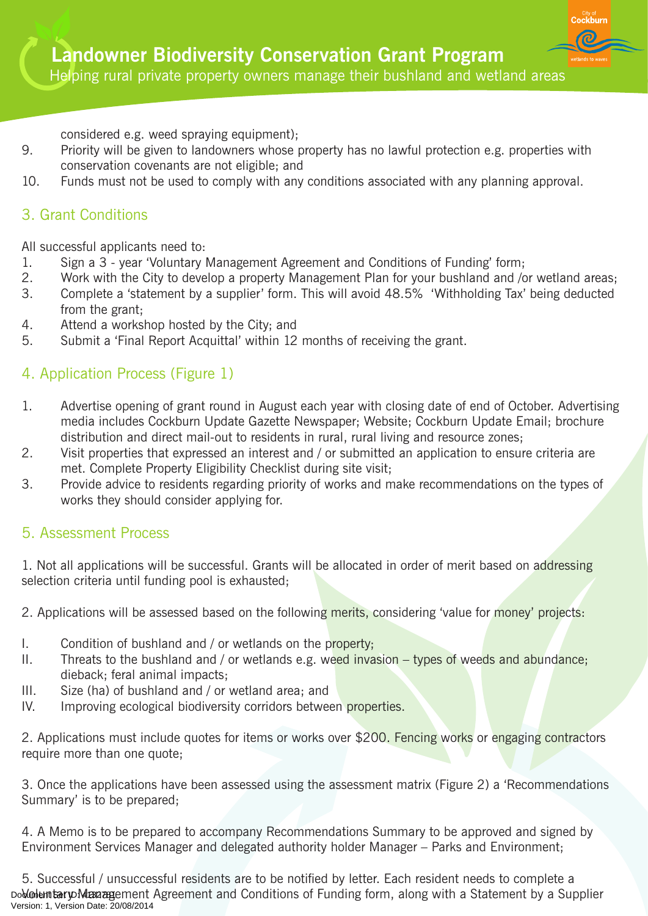considered e.g. weed spraying equipment);

- 9. Priority will be given to landowners whose property has no lawful protection e.g. properties with conservation covenants are not eligible; and
- 10. Funds must not be used to comply with any conditions associated with any planning approval.

## 3. Grant Conditions

All successful applicants need to:

- 1. Sign a 3 year 'Voluntary Management Agreement and Conditions of Funding' form;
- 2. Work with the City to develop a property Management Plan for your bushland and /or wetland areas;
- 3. Complete a 'statement by a supplier' form. This will avoid 48.5% 'Withholding Tax' being deducted from the grant;
- 4. Attend a workshop hosted by the City; and
- 5. Submit a 'Final Report Acquittal' within 12 months of receiving the grant.

### 4. Application Process (Figure 1)

- 1. Advertise opening of grant round in August each year with closing date of end of October. Advertising media includes Cockburn Update Gazette Newspaper; Website; Cockburn Update Email; brochure distribution and direct mail-out to residents in rural, rural living and resource zones;
- 2. Visit properties that expressed an interest and / or submitted an application to ensure criteria are met. Complete Property Eligibility Checklist during site visit;
- 3. Provide advice to residents regarding priority of works and make recommendations on the types of works they should consider applying for.

### 5. Assessment Process

1. Not all applications will be successful. Grants will be allocated in order of merit based on addressing selection criteria until funding pool is exhausted;

2. Applications will be assessed based on the following merits, considering 'value for money' projects:

- I. Condition of bushland and / or wetlands on the property;
- II. Threats to the bushland and / or wetlands e.g. weed invasion  $-$  types of weeds and abundance; dieback; feral animal impacts;
- III. Size (ha) of bushland and / or wetland area; and
- IV. Improving ecological biodiversity corridors between properties.

2. Applications must include quotes for items or works over \$200. Fencing works or engaging contractors require more than one quote;

3. Once the applications have been assessed using the assessment matrix (Figure 2) a 'Recommendations Summary' is to be prepared;

4. A Memo is to be prepared to accompany Recommendations Summary to be approved and signed by Environment Services Manager and delegated authority holder Manager – Parks and Environment;

5. Successful / unsuccessful residents are to be notified by letter. Each resident needs to complete a DolColemtary Management Agreement and Conditions of Funding form, along with a Statement by a Supplier Version: 1, Version Date: 20/08/2014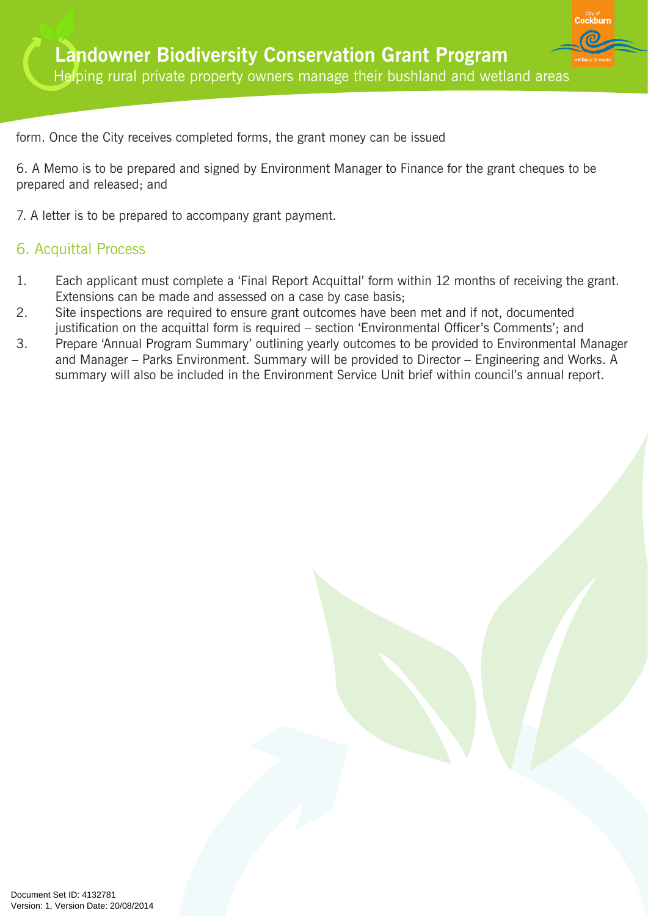form. Once the City receives completed forms, the grant money can be issued

6. A Memo is to be prepared and signed by Environment Manager to Finance for the grant cheques to be prepared and released; and

7. A letter is to be prepared to accompany grant payment.

### 6. Acquittal Process

- 1. Each applicant must complete a 'Final Report Acquittal' form within 12 months of receiving the grant. Extensions can be made and assessed on a case by case basis;
- 2. Site inspections are required to ensure grant outcomes have been met and if not, documented justification on the acquittal form is required – section 'Environmental Officer's Comments'; and
- 3. Prepare 'Annual Program Summary' outlining yearly outcomes to be provided to Environmental Manager and Manager – Parks Environment. Summary will be provided to Director – Engineering and Works. A summary will also be included in the Environment Service Unit brief within council's annual report.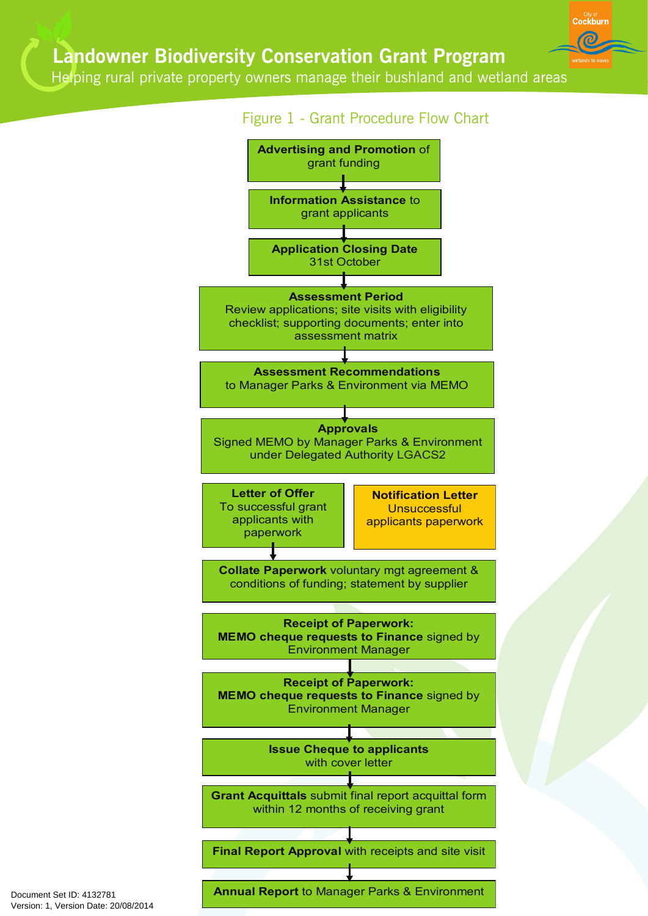Helping rural private property owners manage their bushland and wetland areas



Document Set ID: 4132781<br>Version: 1, Version Date: 20/08/2014

**Annual Report** to Manager Parks & Environment